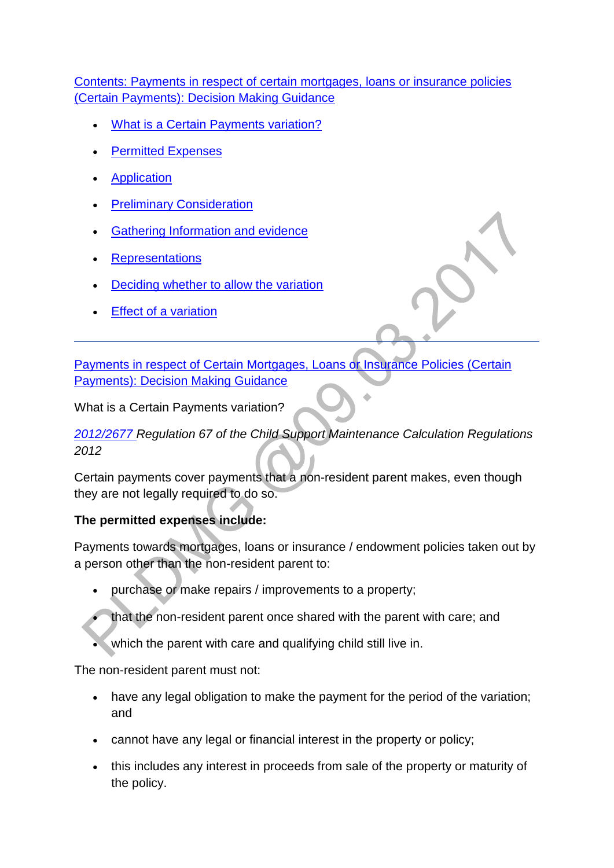### [Contents: Payments in respect of certain mortgages, loans or insurance policies](http://np-cmg-sharepoint.link2.gpn.gov.uk/sites/policy-law-and-decision-making-guidance/Pages/Variations/Special%20Expenses/Certain-Payments.aspx)  [\(Certain Payments\): Decision Making Guidance](http://np-cmg-sharepoint.link2.gpn.gov.uk/sites/policy-law-and-decision-making-guidance/Pages/Variations/Special%20Expenses/Certain-Payments.aspx)

- . [What is a Certain Payments variation?](http://np-cmg-sharepoint.link2.gpn.gov.uk/sites/policy-law-and-decision-making-guidance/Pages/Variations/Special%20Expenses/Certain-Payments.aspx#certainpayments)
- [Permitted Expenses](http://np-cmg-sharepoint.link2.gpn.gov.uk/sites/policy-law-and-decision-making-guidance/Pages/Variations/Special%20Expenses/Certain-Payments.aspx#WebPartTitleWPQ2)
- **[Application](http://np-cmg-sharepoint.link2.gpn.gov.uk/sites/policy-law-and-decision-making-guidance/Pages/Variations/Special%20Expenses/Certain-Payments.aspx#CPApplication)**
- **[Preliminary Consideration](http://np-cmg-sharepoint.link2.gpn.gov.uk/sites/policy-law-and-decision-making-guidance/Pages/Variations/Special%20Expenses/Certain-Payments.aspx#CPPreliminaryConsideration)**
- [Gathering Information and evidence](http://np-cmg-sharepoint.link2.gpn.gov.uk/sites/policy-law-and-decision-making-guidance/Pages/Variations/Special%20Expenses/Certain-Payments.aspx#CPEvidence)
- **[Representations](http://np-cmg-sharepoint.link2.gpn.gov.uk/sites/policy-law-and-decision-making-guidance/Pages/Variations/Special%20Expenses/Certain-Payments.aspx#Representations)**
- [Deciding whether to allow the variation](http://np-cmg-sharepoint.link2.gpn.gov.uk/sites/policy-law-and-decision-making-guidance/Pages/Variations/Special%20Expenses/Certain-Payments.aspx#CPAllow)
- [Effect of a variation](http://np-cmg-sharepoint.link2.gpn.gov.uk/sites/policy-law-and-decision-making-guidance/Pages/Variations/Special%20Expenses/Certain-Payments.aspx#CPEffect)

[Payments in respect of Certain Mortgages, Loans or Insurance Policies \(Certain](http://np-cmg-sharepoint.link2.gpn.gov.uk/sites/policy-law-and-decision-making-guidance/Pages/Variations/Special%20Expenses/Certain-Payments.aspx)  [Payments\): Decision Making Guidance](http://np-cmg-sharepoint.link2.gpn.gov.uk/sites/policy-law-and-decision-making-guidance/Pages/Variations/Special%20Expenses/Certain-Payments.aspx) 

What is a Certain Payments variation?

# *[2012/2677 R](http://www.legislation.gov.uk/uksi/2012/2677)egulation 67 of the Child Support Maintenance Calculation Regulations 2012*

Certain payments cover payments that a non-resident parent makes, even though they are not legally required to do so.

# **The permitted expenses include:**

Payments towards mortgages, loans or insurance / endowment policies taken out by a person other than the non-resident parent to:

- purchase or make repairs / improvements to a property;
	- that the non-resident parent once shared with the parent with care; and
	- which the parent with care and qualifying child still live in.

The non-resident parent must not:

- have any legal obligation to make the payment for the period of the variation; and
- cannot have any legal or financial interest in the property or policy;
- this includes any interest in proceeds from sale of the property or maturity of the policy.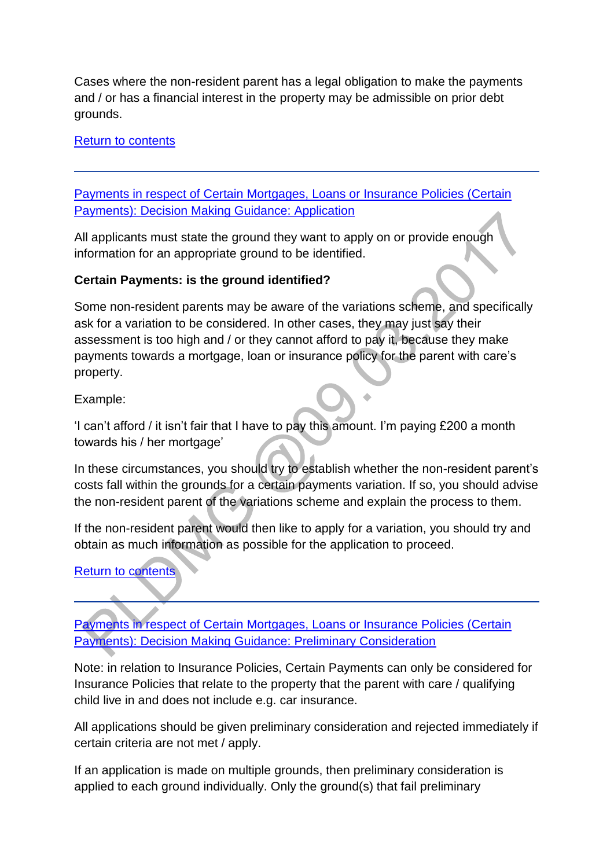Cases where the non-resident parent has a legal obligation to make the payments and / or has a financial interest in the property may be admissible on prior debt grounds.

[Return to contents](http://np-cmg-sharepoint.link2.gpn.gov.uk/sites/policy-law-and-decision-making-guidance/Pages/Variations/Special%20Expenses/Certain-Payments.aspx#DMGcontents)

[Payments in respect of Certain Mortgages, Loans or Insurance Policies \(Certain](http://np-cmg-sharepoint.link2.gpn.gov.uk/sites/policy-law-and-decision-making-guidance/Pages/Variations/Special%20Expenses/Certain-Payments.aspx)  [Payments\): Decision Making Guidance: Application](http://np-cmg-sharepoint.link2.gpn.gov.uk/sites/policy-law-and-decision-making-guidance/Pages/Variations/Special%20Expenses/Certain-Payments.aspx)

All applicants must state the ground they want to apply on or provide enough information for an appropriate ground to be identified.

#### **Certain Payments: is the ground identified?**

Some non-resident parents may be aware of the variations scheme, and specifically ask for a variation to be considered. In other cases, they may just say their assessment is too high and / or they cannot afford to pay it, because they make payments towards a mortgage, loan or insurance policy for the parent with care's property.

Example:

'I can't afford / it isn't fair that I have to pay this amount. I'm paying £200 a month towards his / her mortgage'

In these circumstances, you should try to establish whether the non-resident parent's costs fall within the grounds for a certain payments variation. If so, you should advise the non-resident parent of the variations scheme and explain the process to them.

If the non-resident parent would then like to apply for a variation, you should try and obtain as much information as possible for the application to proceed.

[Return to contents](http://np-cmg-sharepoint.link2.gpn.gov.uk/sites/policy-law-and-decision-making-guidance/Pages/Variations/Special%20Expenses/Certain-Payments.aspx#DMGcontents)

[Payments in respect of Certain Mortgages, Loans or Insurance Policies \(Certain](http://np-cmg-sharepoint.link2.gpn.gov.uk/sites/policy-law-and-decision-making-guidance/Pages/Variations/Special%20Expenses/Certain-Payments.aspx)  [Payments\): Decision Making Guidance: Preliminary Consideration](http://np-cmg-sharepoint.link2.gpn.gov.uk/sites/policy-law-and-decision-making-guidance/Pages/Variations/Special%20Expenses/Certain-Payments.aspx) 

Note: in relation to Insurance Policies, Certain Payments can only be considered for Insurance Policies that relate to the property that the parent with care / qualifying child live in and does not include e.g. car insurance.

All applications should be given preliminary consideration and rejected immediately if certain criteria are not met / apply.

If an application is made on multiple grounds, then preliminary consideration is applied to each ground individually. Only the ground(s) that fail preliminary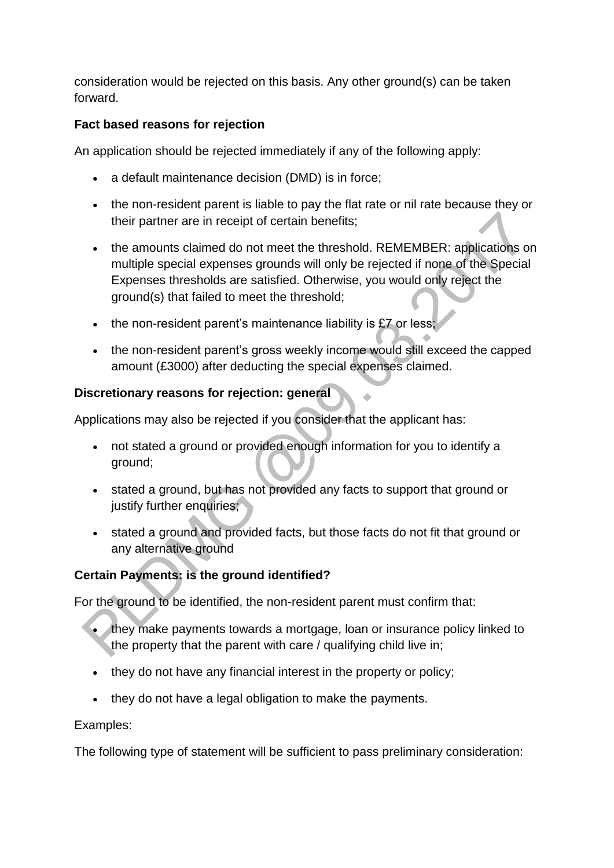consideration would be rejected on this basis. Any other ground(s) can be taken forward.

### **Fact based reasons for rejection**

An application should be rejected immediately if any of the following apply:

- a default maintenance decision (DMD) is in force;
- the non-resident parent is liable to pay the flat rate or nil rate because they or their partner are in receipt of certain benefits;
- the amounts claimed do not meet the threshold. REMEMBER: applications on multiple special expenses grounds will only be rejected if none of the Special Expenses thresholds are satisfied. Otherwise, you would only reject the ground(s) that failed to meet the threshold;
- $\bullet$  the non-resident parent's maintenance liability is £7 or less;
- the non-resident parent's gross weekly income would still exceed the capped amount (£3000) after deducting the special expenses claimed.

### **Discretionary reasons for rejection: general**

Applications may also be rejected if you consider that the applicant has:

- not stated a ground or provided enough information for you to identify a ground;
- stated a ground, but has not provided any facts to support that ground or justify further enquiries;
- stated a ground and provided facts, but those facts do not fit that ground or any alternative ground

# **Certain Payments: is the ground identified?**

For the ground to be identified, the non-resident parent must confirm that:

- they make payments towards a mortgage, loan or insurance policy linked to the property that the parent with care / qualifying child live in;
- they do not have any financial interest in the property or policy;
- they do not have a legal obligation to make the payments.

#### Examples:

The following type of statement will be sufficient to pass preliminary consideration: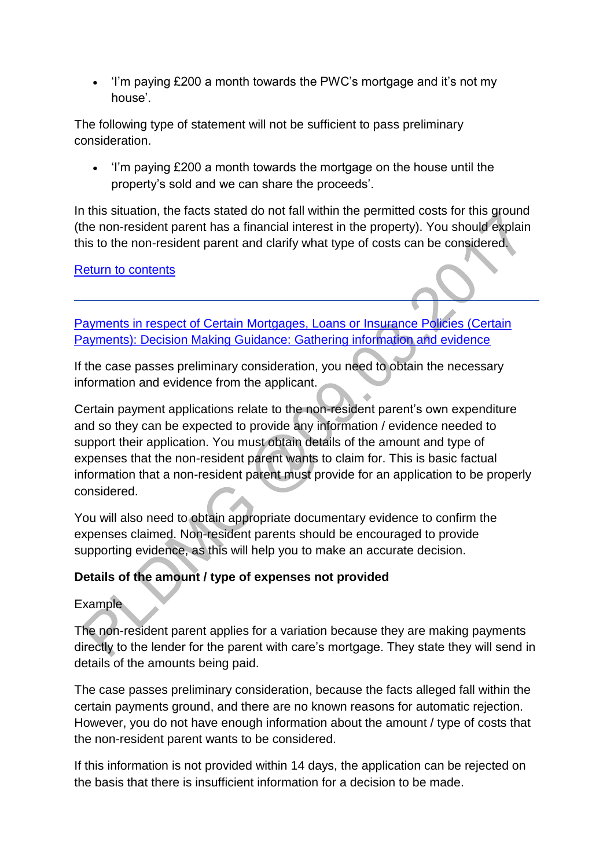'I'm paying £200 a month towards the PWC's mortgage and it's not my house'.

The following type of statement will not be sufficient to pass preliminary consideration.

 'I'm paying £200 a month towards the mortgage on the house until the property's sold and we can share the proceeds'.

In this situation, the facts stated do not fall within the permitted costs for this ground (the non-resident parent has a financial interest in the property). You should explain this to the non-resident parent and clarify what type of costs can be considered.

[Return to contents](http://np-cmg-sharepoint.link2.gpn.gov.uk/sites/policy-law-and-decision-making-guidance/Pages/Variations/Special%20Expenses/Certain-Payments.aspx#DMGcontents)

[Payments in respect of Certain Mortgages, Loans or Insurance Policies \(Certain](http://np-cmg-sharepoint.link2.gpn.gov.uk/sites/policy-law-and-decision-making-guidance/Pages/Variations/Special%20Expenses/Certain-Payments.aspx)  [Payments\): Decision Making Guidance: Gathering information and evidence](http://np-cmg-sharepoint.link2.gpn.gov.uk/sites/policy-law-and-decision-making-guidance/Pages/Variations/Special%20Expenses/Certain-Payments.aspx) 

If the case passes preliminary consideration, you need to obtain the necessary information and evidence from the applicant.

Certain payment applications relate to the non-resident parent's own expenditure and so they can be expected to provide any information / evidence needed to support their application. You must obtain details of the amount and type of expenses that the non-resident parent wants to claim for. This is basic factual information that a non-resident parent must provide for an application to be properly considered.

You will also need to obtain appropriate documentary evidence to confirm the expenses claimed. Non-resident parents should be encouraged to provide supporting evidence, as this will help you to make an accurate decision.

# **Details of the amount / type of expenses not provided**

# Example

The non-resident parent applies for a variation because they are making payments directly to the lender for the parent with care's mortgage. They state they will send in details of the amounts being paid.

The case passes preliminary consideration, because the facts alleged fall within the certain payments ground, and there are no known reasons for automatic rejection. However, you do not have enough information about the amount / type of costs that the non-resident parent wants to be considered.

If this information is not provided within 14 days, the application can be rejected on the basis that there is insufficient information for a decision to be made.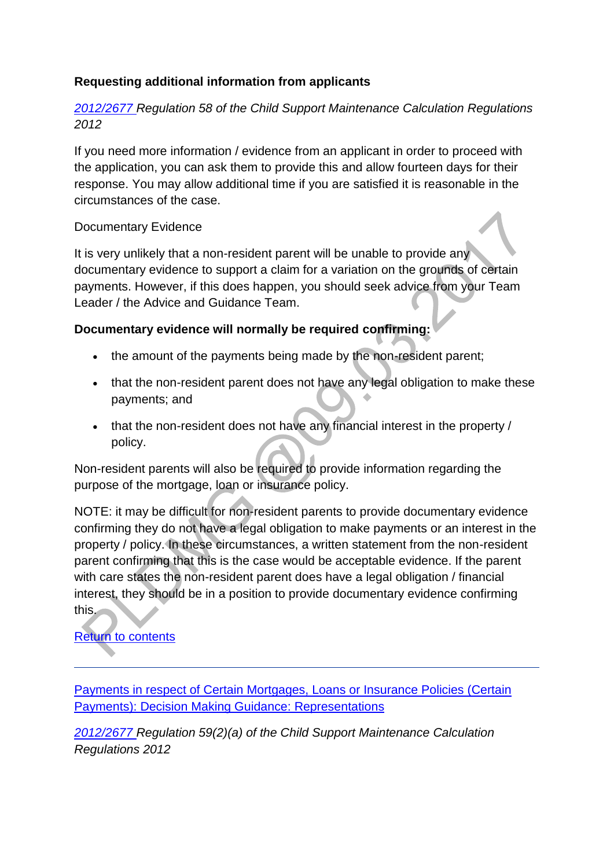### **Requesting additional information from applicants**

### *[2012/2677 R](http://www.legislation.gov.uk/uksi/2012/2677)egulation 58 of the Child Support Maintenance Calculation Regulations 2012*

If you need more information / evidence from an applicant in order to proceed with the application, you can ask them to provide this and allow fourteen days for their response. You may allow additional time if you are satisfied it is reasonable in the circumstances of the case.

#### Documentary Evidence

It is very unlikely that a non-resident parent will be unable to provide any documentary evidence to support a claim for a variation on the grounds of certain payments. However, if this does happen, you should seek advice from your Team Leader / the Advice and Guidance Team.

#### **Documentary evidence will normally be required confirming:**

- the amount of the payments being made by the non-resident parent;
- that the non-resident parent does not have any legal obligation to make these payments; and
- that the non-resident does not have any financial interest in the property / policy.

Non-resident parents will also be required to provide information regarding the purpose of the mortgage, loan or insurance policy.

NOTE: it may be difficult for non-resident parents to provide documentary evidence confirming they do not have a legal obligation to make payments or an interest in the property / policy. In these circumstances, a written statement from the non-resident parent confirming that this is the case would be acceptable evidence. If the parent with care states the non-resident parent does have a legal obligation / financial interest, they should be in a position to provide documentary evidence confirming this.

# [Return to contents](http://np-cmg-sharepoint.link2.gpn.gov.uk/sites/policy-law-and-decision-making-guidance/Pages/Variations/Special%20Expenses/Certain-Payments.aspx#DMGcontents)

[Payments in respect of Certain Mortgages, Loans or Insurance Policies \(Certain](http://np-cmg-sharepoint.link2.gpn.gov.uk/sites/policy-law-and-decision-making-guidance/Pages/Variations/Special%20Expenses/Certain-Payments.aspx)  [Payments\): Decision Making Guidance: Representations](http://np-cmg-sharepoint.link2.gpn.gov.uk/sites/policy-law-and-decision-making-guidance/Pages/Variations/Special%20Expenses/Certain-Payments.aspx)

*[2012/2677 R](http://www.legislation.gov.uk/uksi/2012/2677)egulation 59(2)(a) of the Child Support Maintenance Calculation Regulations 2012*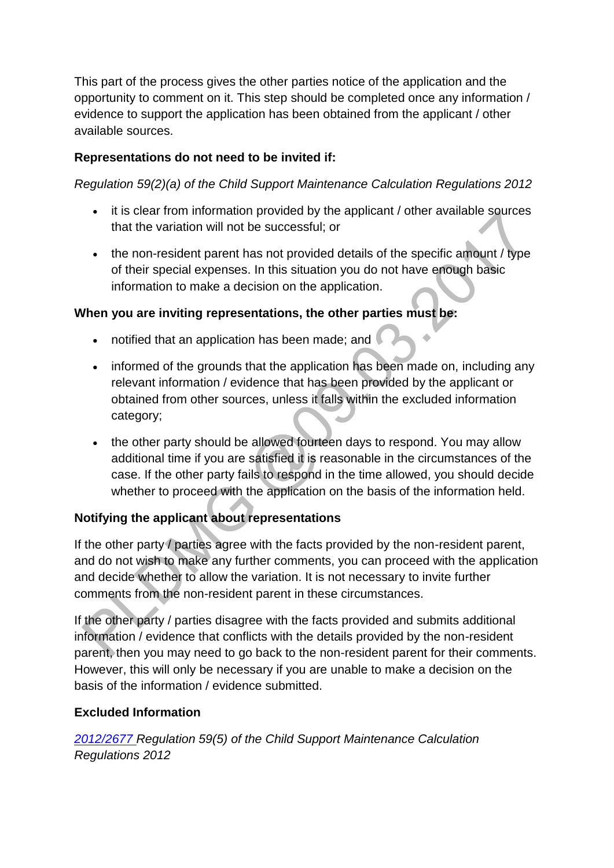This part of the process gives the other parties notice of the application and the opportunity to comment on it. This step should be completed once any information / evidence to support the application has been obtained from the applicant / other available sources.

# **Representations do not need to be invited if:**

*Regulation 59(2)(a) of the Child Support Maintenance Calculation Regulations 2012* 

- it is clear from information provided by the applicant / other available sources that the variation will not be successful; or
- the non-resident parent has not provided details of the specific amount / type of their special expenses. In this situation you do not have enough basic information to make a decision on the application.

#### **When you are inviting representations, the other parties must be:**

- notified that an application has been made; and
- informed of the grounds that the application has been made on, including any relevant information / evidence that has been provided by the applicant or obtained from other sources, unless it falls within the excluded information category;  $\sim$
- the other party should be allowed fourteen days to respond. You may allow additional time if you are satisfied it is reasonable in the circumstances of the case. If the other party fails to respond in the time allowed, you should decide whether to proceed with the application on the basis of the information held.

# **Notifying the applicant about representations**

If the other party / parties agree with the facts provided by the non-resident parent, and do not wish to make any further comments, you can proceed with the application and decide whether to allow the variation. It is not necessary to invite further comments from the non-resident parent in these circumstances.

If the other party / parties disagree with the facts provided and submits additional information / evidence that conflicts with the details provided by the non-resident parent, then you may need to go back to the non-resident parent for their comments. However, this will only be necessary if you are unable to make a decision on the basis of the information / evidence submitted.

#### **Excluded Information**

*[2012/2677 R](http://www.legislation.gov.uk/uksi/2012/2677)egulation 59(5) of the Child Support Maintenance Calculation Regulations 2012*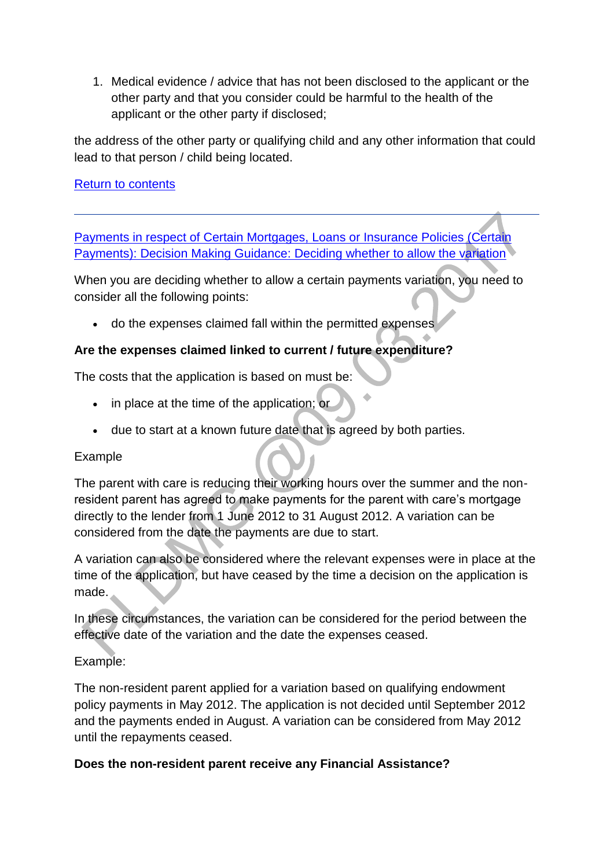1. Medical evidence / advice that has not been disclosed to the applicant or the other party and that you consider could be harmful to the health of the applicant or the other party if disclosed;

the address of the other party or qualifying child and any other information that could lead to that person / child being located.

#### [Return to contents](http://np-cmg-sharepoint.link2.gpn.gov.uk/sites/policy-law-and-decision-making-guidance/Pages/Variations/Special%20Expenses/Certain-Payments.aspx#DMGcontents)

[Payments in respect of Certain Mortgages, Loans or Insurance Policies \(Certain](http://np-cmg-sharepoint.link2.gpn.gov.uk/sites/policy-law-and-decision-making-guidance/Pages/Variations/Special%20Expenses/Certain-Payments.aspx)  [Payments\): Decision Making Guidance: Deciding whether to allow the variation](http://np-cmg-sharepoint.link2.gpn.gov.uk/sites/policy-law-and-decision-making-guidance/Pages/Variations/Special%20Expenses/Certain-Payments.aspx)

When you are deciding whether to allow a certain payments variation, you need to consider all the following points:

do the expenses claimed fall within the permitted expenses

### **Are the expenses claimed linked to current / future expenditure?**

The costs that the application is based on must be:

- in place at the time of the application; or
- due to start at a known future date that is agreed by both parties.

#### Example

The parent with care is reducing their working hours over the summer and the nonresident parent has agreed to make payments for the parent with care's mortgage directly to the lender from 1 June 2012 to 31 August 2012. A variation can be considered from the date the payments are due to start.

A variation can also be considered where the relevant expenses were in place at the time of the application, but have ceased by the time a decision on the application is made.

In these circumstances, the variation can be considered for the period between the effective date of the variation and the date the expenses ceased.

#### Example:

The non-resident parent applied for a variation based on qualifying endowment policy payments in May 2012. The application is not decided until September 2012 and the payments ended in August. A variation can be considered from May 2012 until the repayments ceased.

#### **Does the non-resident parent receive any Financial Assistance?**